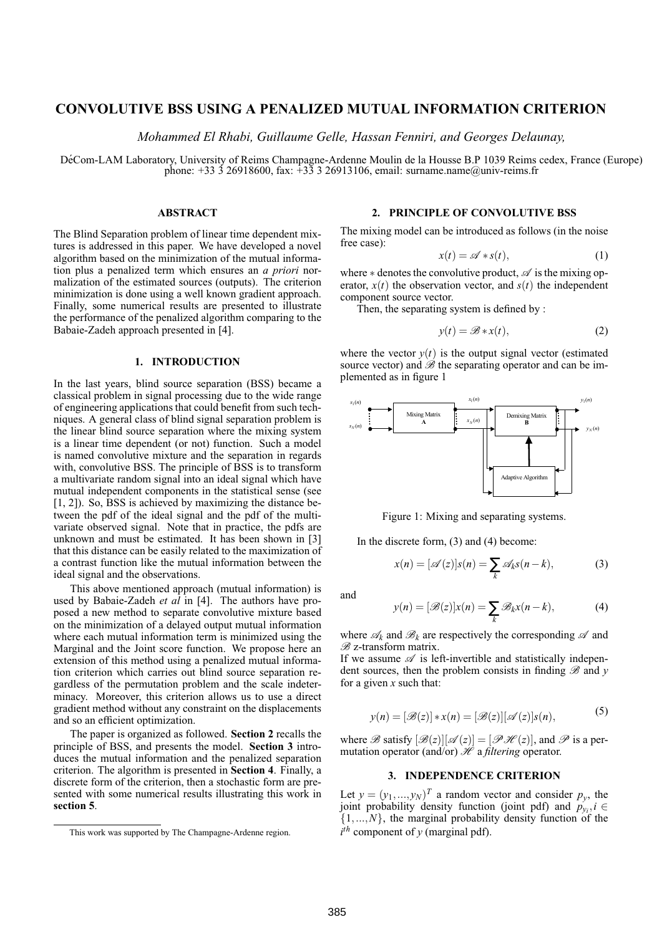## **CONVOLUTIVE BSS USING A PENALIZED MUTUAL INFORMATION CRITERION**

*Mohammed El Rhabi, Guillaume Gelle, Hassan Fenniri, and Georges Delaunay,*

DéCom-LAM Laboratory, University of Reims Champagne-Ardenne Moulin de la Housse B.P 1039 Reims cedex, France (Europe) phone:  $+33\overline{3}$  26918600, fax:  $+3\overline{3}$  3 26913106, email: surname.name@univ-reims.fr

## **ABSTRACT**

The Blind Separation problem of linear time dependent mixtures is addressed in this paper. We have developed a novel algorithm based on the minimization of the mutual information plus a penalized term which ensures an *a priori* normalization of the estimated sources (outputs). The criterion minimization is done using a well known gradient approach. Finally, some numerical results are presented to illustrate the performance of the penalized algorithm comparing to the Babaie-Zadeh approach presented in [4].

#### **1. INTRODUCTION**

In the last years, blind source separation (BSS) became a classical problem in signal processing due to the wide range of engineering applications that could benefit from such techniques. A general class of blind signal separation problem is the linear blind source separation where the mixing system is a linear time dependent (or not) function. Such a model is named convolutive mixture and the separation in regards with, convolutive BSS. The principle of BSS is to transform a multivariate random signal into an ideal signal which have mutual independent components in the statistical sense (see [1, 2]). So, BSS is achieved by maximizing the distance between the pdf of the ideal signal and the pdf of the multivariate observed signal. Note that in practice, the pdfs are unknown and must be estimated. It has been shown in [3] that this distance can be easily related to the maximization of a contrast function like the mutual information between the ideal signal and the observations.

This above mentioned approach (mutual information) is used by Babaie-Zadeh *et al* in [4]. The authors have proposed a new method to separate convolutive mixture based on the minimization of a delayed output mutual information where each mutual information term is minimized using the Marginal and the Joint score function. We propose here an extension of this method using a penalized mutual information criterion which carries out blind source separation regardless of the permutation problem and the scale indeterminacy. Moreover, this criterion allows us to use a direct gradient method without any constraint on the displacements and so an efficient optimization.

The paper is organized as followed. **Section 2** recalls the principle of BSS, and presents the model. **Section 3** introduces the mutual information and the penalized separation criterion. The algorithm is presented in **Section 4**. Finally, a discrete form of the criterion, then a stochastic form are presented with some numerical results illustrating this work in **section 5**.

## **2. PRINCIPLE OF CONVOLUTIVE BSS**

The mixing model can be introduced as follows (in the noise free case):

$$
x(t) = \mathscr{A} * s(t), \tag{1}
$$

where  $*$  denotes the convolutive product,  $\mathscr A$  is the mixing operator,  $x(t)$  the observation vector, and  $s(t)$  the independent component source vector.

Then, the separating system is defined by :

$$
y(t) = \mathcal{B} * x(t),\tag{2}
$$

where the vector  $y(t)$  is the output signal vector (estimated source vector) and  $\mathscr{B}$  the separating operator and can be implemented as in figure 1



Figure 1: Mixing and separating systems.

In the discrete form, (3) and (4) become:

$$
x(n) = [\mathscr{A}(z)]s(n) = \sum_{k} \mathscr{A}_{k} s(n-k), \qquad (3)
$$

and

$$
y(n) = [\mathcal{B}(z)]x(n) = \sum_{k} \mathcal{B}_{k}x(n-k),
$$
 (4)

where  $\mathscr{A}_k$  and  $\mathscr{B}_k$  are respectively the corresponding  $\mathscr A$  and  $\mathscr{B}$  z-transform matrix.

If we assume  $\mathscr A$  is left-invertible and statistically independent sources, then the problem consists in finding  $\mathscr B$  and  $\gamma$ for a given *x* such that:

$$
y(n) = [\mathcal{B}(z)] * x(n) = [\mathcal{B}(z)][\mathcal{A}(z)]s(n),
$$
\n(5)

where  $\mathscr{B}$  satisfy  $[\mathscr{B}(z)][\mathscr{A}(z)] = [\mathscr{P} \mathscr{H}(z)]$ , and  $\mathscr{P}$  is a permutation operator (and/or)  $\mathcal{H}$  a *filtering* operator.

# **3. INDEPENDENCE CRITERION**

Let  $y = (y_1, ..., y_N)^T$  a random vector and consider  $p_y$ , the joint probability density function (joint pdf) and  $p_{y_i}$ ,  $i \in$  $\{1,...,N\}$ , the marginal probability density function of the  $i^{th}$  component of *y* (marginal pdf).

This work was supported by The Champagne-Ardenne region.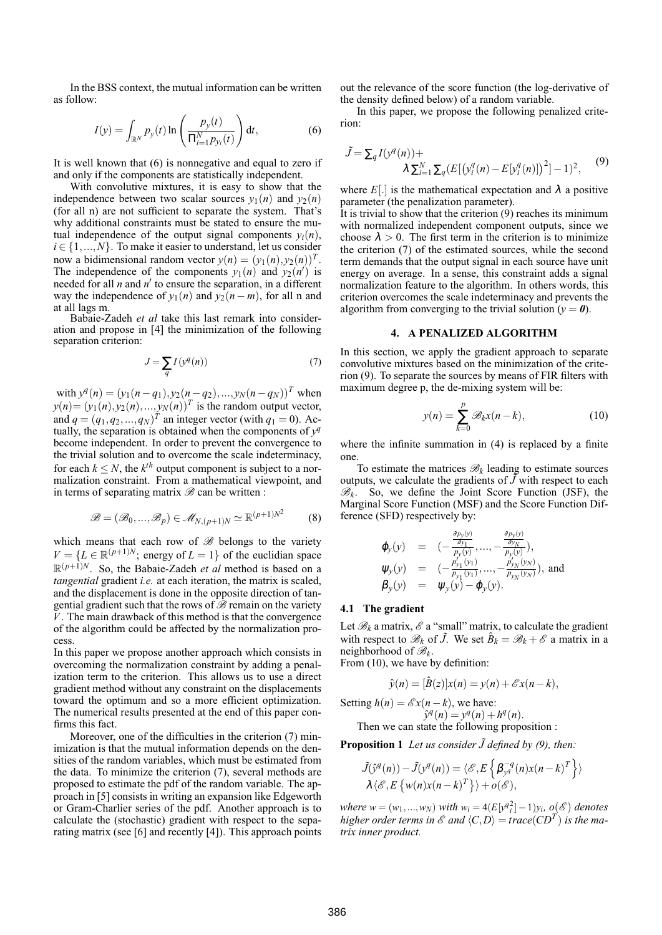In the BSS context, the mutual information can be written as follow:

$$
I(y) = \int_{\mathbb{R}^N} p_y(t) \ln \left( \frac{p_y(t)}{\Pi_{i=1}^N p_{y_i}(t)} \right) dt,
$$
 (6)

It is well known that (6) is nonnegative and equal to zero if and only if the components are statistically independent.

With convolutive mixtures, it is easy to show that the independence between two scalar sources  $y_1(n)$  and  $y_2(n)$ (for all n) are not sufficient to separate the system. That's why additional constraints must be stated to ensure the mutual independence of the output signal components  $y_i(n)$ ,  $i \in \{1, ..., N\}$ . To make it easier to understand, let us consider now a bidimensional random vector  $y(n) = (y_1(n), y_2(n))^T$ . The independence of the components  $y_1(n)$  and  $y_2(n')$  is needed for all  $n$  and  $n'$  to ensure the separation, in a different way the independence of  $y_1(n)$  and  $y_2(n-m)$ , for all n and at all lags m.

Babaie-Zadeh *et al* take this last remark into consideration and propose in [4] the minimization of the following separation criterion:

$$
J = \sum_{q} I(y^q(n))
$$
 (7)

 $\text{with } y^q(n) = (y_1(n-q_1), y_2(n-q_2), ..., y_N(n-q_N))^T \text{ when }$  $y(n) = (y_1(n), y_2(n), \ldots, y_N(n))^T$  is the random output vector, and  $q = (q_1, q_2, ..., q_N)^T$  an integer vector (with  $q_1 = 0$ ). Actually, the separation is obtained when the components of  $y^q$ become independent. In order to prevent the convergence to the trivial solution and to overcome the scale indeterminacy, for each  $k \leq N$ , the  $k^{th}$  output component is subject to a normalization constraint. From a mathematical viewpoint, and in terms of separating matrix  $\mathscr B$  can be written :

$$
\mathcal{B} = (\mathcal{B}_0, ..., \mathcal{B}_p) \in \mathcal{M}_{N,(p+1)N} \simeq \mathbb{R}^{(p+1)N^2}
$$
 (8)

which means that each row of  $\mathscr B$  belongs to the variety  $V = \{L \in \mathbb{R}^{(p+1)N}$ ; energy of  $L = 1\}$  of the euclidian space  $\mathbb{R}^{(p+1)N}$ . So, the Babaie-Zadeh *et al* method is based on a *tangential* gradient *i.e.* at each iteration, the matrix is scaled, and the displacement is done in the opposite direction of tangential gradient such that the rows of  $\hat{\mathscr{B}}$  remain on the variety *V*. The main drawback of this method is that the convergence of the algorithm could be affected by the normalization process.

In this paper we propose another approach which consists in overcoming the normalization constraint by adding a penalization term to the criterion. This allows us to use a direct gradient method without any constraint on the displacements toward the optimum and so a more efficient optimization. The numerical results presented at the end of this paper confirms this fact.

Moreover, one of the difficulties in the criterion (7) minimization is that the mutual information depends on the densities of the random variables, which must be estimated from the data. To minimize the criterion (7), several methods are proposed to estimate the pdf of the random variable. The approach in [5] consists in writing an expansion like Edgeworth or Gram-Charlier series of the pdf. Another approach is to calculate the (stochastic) gradient with respect to the separating matrix (see [6] and recently [4]). This approach points out the relevance of the score function (the log-derivative of the density defined below) of a random variable.

In this paper, we propose the following penalized criterion:

$$
\tilde{J} = \sum_{q} I(y^q(n)) + \lambda \sum_{i=1}^{N} \sum_{q} \left( E[(y_i^q(n) - E[y_i^q(n)])^2] - 1)^2, \right)
$$
\n(9)

where  $E[.]$  is the mathematical expectation and  $\lambda$  a positive parameter (the penalization parameter).

It is trivial to show that the criterion (9) reaches its minimum with normalized independent component outputs, since we choose  $\lambda > 0$ . The first term in the criterion is to minimize the criterion (7) of the estimated sources, while the second term demands that the output signal in each source have unit energy on average. In a sense, this constraint adds a signal normalization feature to the algorithm. In others words, this criterion overcomes the scale indeterminacy and prevents the algorithm from converging to the trivial solution ( $y = 0$ ).

## **4. A PENALIZED ALGORITHM**

In this section, we apply the gradient approach to separate convolutive mixtures based on the minimization of the criterion (9). To separate the sources by means of FIR filters with maximum degree p, the de-mixing system will be:

$$
y(n) = \sum_{k=0}^{p} \mathcal{B}_k x(n-k),
$$
 (10)

where the infinite summation in (4) is replaced by a finite one.

To estimate the matrices  $\mathcal{B}_k$  leading to estimate sources outputs, we calculate the gradients of  $\tilde{J}$  with respect to each  $\mathcal{B}_k$ . So, we define the Joint Score Function (JSF), the Marginal Score Function (MSF) and the Score Function Difference (SFD) respectively by:

$$
\varphi_{y}(y) = (-\frac{\frac{\partial p_{y}(y)}{\partial y_{1}}}{p_{y}(y)}, ..., -\frac{\frac{\partial p_{y}(y)}{\partial y_{N}}}{p_{y}(y)}), \n\psi_{y}(y) = (-\frac{p_{y_{1}}'(y_{1})}{p_{y_{1}}(y_{1})}, ..., -\frac{p_{y_{N}}'(y_{N})}{p_{y_{N}}(y_{N})}), and \n\beta_{y}(y) = \psi_{y}(y) - \varphi_{y}(y).
$$

#### **4.1 The gradient**

Let  $\mathcal{B}_k$  a matrix,  $\mathcal{E}$  a "small" matrix, to calculate the gradient with respect to  $\mathcal{B}_k$  of  $\tilde{J}$ . We set  $\hat{B}_k = \mathcal{B}_k + \mathcal{E}$  a matrix in a neighborhood of B*<sup>k</sup>* .

From (10), we have by definition:

$$
\hat{y}(n) = [\hat{B}(z)]x(n) = y(n) + \mathscr{E}x(n-k),
$$

Setting  $h(n) = \mathcal{E}x(n-k)$ , we have:  $\hat{y}^q(n) = y^q(n) + h^q(n).$ Then we can state the following proposition :

**Proposition 1** *Let us consider*  $\tilde{J}$  *defined by (9), then:* 

$$
\tilde{J}(\hat{y}^q(n)) - \tilde{J}(y^q(n)) = \langle \mathcal{E}, E\left\{\beta_{y^q}^{-q}(n)x(n-k)^T\right\}\rangle
$$
  

$$
\lambda \langle \mathcal{E}, E\left\{w(n)x(n-k)^T\right\}\rangle + o(\mathcal{E}),
$$

*where*  $w = (w_1, ..., w_N)$  *with*  $w_i = 4(E[y^q_i^2] - 1)y_i$ ,  $o(e^e)$  denotes *higher order terms in*  $\mathscr E$  *and*  $\langle C, D \rangle = trace(CD^T)$  *is the matrix inner product.*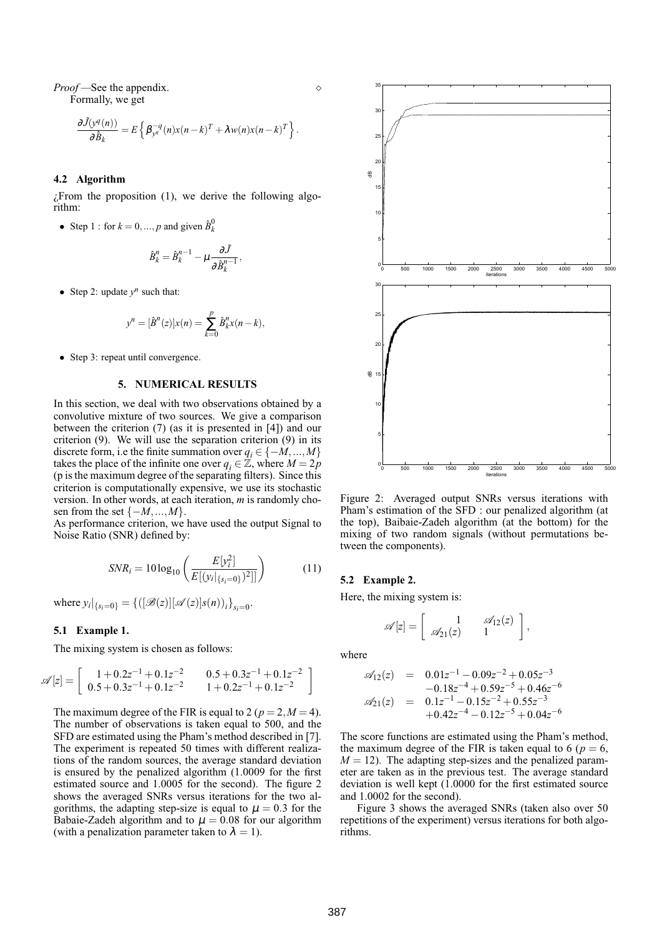*Proof* — See the appendix.  $\Diamond$ Formally, we get

$$
\frac{\partial \tilde{J}(y^q(n))}{\partial \hat{B}_k} = E\left\{\beta_{y^q}^{-q}(n)x(n-k)^T + \lambda w(n)x(n-k)^T\right\}.
$$

### **4.2 Algorithm**

 $\zeta$ From the proposition (1), we derive the following algorithm:

• Step 1 : for  $k = 0, ..., p$  and given  $\hat{B}_k^0$ 

$$
\hat{B}_k^n = \hat{B}_k^{n-1} - \mu \frac{\partial \tilde{J}}{\partial \hat{B}_k^{n-1}},
$$

• Step 2: update  $y^n$  such that:

$$
y^{n} = [\hat{B}^{n}(z)]x(n) = \sum_{k=0}^{p} \hat{B}_{k}^{n}x(n-k),
$$

• Step 3: repeat until convergence.

## **5. NUMERICAL RESULTS**

In this section, we deal with two observations obtained by a convolutive mixture of two sources. We give a comparison between the criterion (7) (as it is presented in [4]) and our criterion (9). We will use the separation criterion (9) in its discrete form, i.e the finite summation over  $q_i \in \{-M, ..., M\}$ takes the place of the infinite one over  $q_i \in \mathbb{Z}$ , where  $M = 2p$ (p is the maximum degree of the separating filters). Since this criterion is computationally expensive, we use its stochastic version. In other words, at each iteration, *m* is randomly chosen from the set  $\{-M, ..., M\}$ .

As performance criterion, we have used the output Signal to Noise Ratio (SNR) defined by:

$$
SNR_i = 10 \log_{10} \left( \frac{E[\mathbf{y}_i^2]}{E[(\mathbf{y}_i |_{\{s_i=0\}})^2]]} \right) \tag{11}
$$

where  $y_i|_{\{s_i=0\}} = \{([\mathcal{B}(z)][\mathcal{A}(z)]s(n))_i\}_{s_i=0}$ .

#### **5.1 Example 1.**

The mixing system is chosen as follows:

$$
\mathscr{A}[z] = \left[ \begin{array}{cc} 1+0.2z^{-1}+0.1z^{-2} & 0.5+0.3z^{-1}+0.1z^{-2} \\ 0.5+0.3z^{-1}+0.1z^{-2} & 1+0.2z^{-1}+0.1z^{-2} \end{array} \right]
$$

The maximum degree of the FIR is equal to 2 ( $p = 2, M = 4$ ). The number of observations is taken equal to 500, and the SFD are estimated using the Pham's method described in [7]. The experiment is repeated 50 times with different realizations of the random sources, the average standard deviation is ensured by the penalized algorithm (1.0009 for the first estimated source and 1.0005 for the second). The figure 2 shows the averaged SNRs versus iterations for the two algorithms, the adapting step-size is equal to  $\mu = 0.3$  for the Babaie-Zadeh algorithm and to  $\mu = 0.08$  for our algorithm (with a penalization parameter taken to  $\lambda = 1$ ).



Figure 2: Averaged output SNRs versus iterations with Pham's estimation of the SFD : our penalized algorithm (at the top), Baibaie-Zadeh algorithm (at the bottom) for the mixing of two random signals (without permutations between the components).

#### **5.2 Example 2.**

Here, the mixing system is:

$$
\mathscr{A}[z] = \left[ \begin{array}{cc} 1 & \mathscr{A}_{12}(z) \\ \mathscr{A}_{21}(z) & 1 \end{array} \right],
$$

where

$$
\mathscr{A}_{12}(z) = 0.01z^{-1} - 0.09z^{-2} + 0.05z^{-3}
$$
  
\n
$$
-0.18z^{-4} + 0.59z^{-5} + 0.46z^{-6}
$$
  
\n
$$
\mathscr{A}_{21}(z) = 0.1z^{-1} - 0.15z^{-2} + 0.55z^{-3}
$$
  
\n
$$
+0.42z^{-4} - 0.12z^{-5} + 0.04z^{-6}
$$

The score functions are estimated using the Pham's method, the maximum degree of the FIR is taken equal to 6 ( $p = 6$ ,  $M = 12$ ). The adapting step-sizes and the penalized parameter are taken as in the previous test. The average standard deviation is well kept (1.0000 for the first estimated source and 1.0002 for the second).

Figure 3 shows the averaged SNRs (taken also over 50 repetitions of the experiment) versus iterations for both algorithms.